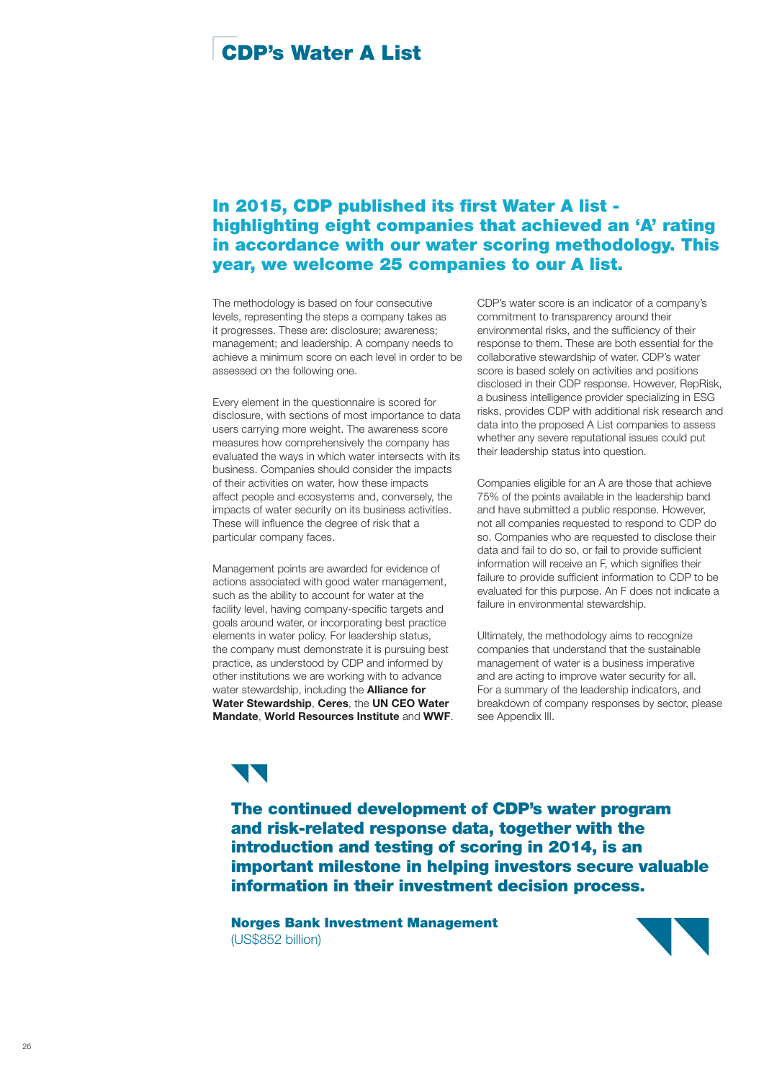# CDP's Water A List

# In 2015, CDP published its first Water A list highlighting eight companies that achieved an 'A' rating in accordance with our water scoring methodology. This year, we welcome 25 companies to our A list.

The methodology is based on four consecutive levels, representing the steps a company takes as it progresses. These are: disclosure; awareness; management; and leadership. A company needs to achieve a minimum score on each level in order to be assessed on the following one.

Every element in the questionnaire is scored for disclosure, with sections of most importance to data users carrying more weight. The awareness score measures how comprehensively the company has evaluated the ways in which water intersects with its business. Companies should consider the impacts of their activities on water, how these impacts affect people and ecosystems and, conversely, the impacts of water security on its business activities. These will influence the degree of risk that a particular company faces.

Management points are awarded for evidence of actions associated with good water management, such as the ability to account for water at the facility level, having company-specific targets and goals around water, or incorporating best practice elements in water policy. For leadership status, the company must demonstrate it is pursuing best practice, as understood by CDP and informed by other institutions we are working with to advance water stewardship, including the **Alliance for** Water Stewardship, Ceres, the UN CEO Water Mandate, World Resources Institute and WWF. CDP's water score is an indicator of a company's commitment to transparency around their environmental risks, and the sufficiency of their response to them. These are both essential for the collaborative stewardship of water. CDP's water score is based solely on activities and positions disclosed in their CDP response. However, RepRisk, a business intelligence provider specializing in ESG risks, provides CDP with additional risk research and data into the proposed A List companies to assess whether any severe reputational issues could put their leadership status into question.

Companies eligible for an A are those that achieve 75% of the points available in the leadership band and have submitted a public response. However, not all companies requested to respond to CDP do so. Companies who are requested to disclose their data and fail to do so, or fail to provide sufficient information will receive an F, which signifies their failure to provide sufficient information to CDP to be evaluated for this purpose. An F does not indicate a failure in environmental stewardship.

Ultimately, the methodology aims to recognize companies that understand that the sustainable management of water is a business imperative and are acting to improve water security for all. For a summary of the leadership indicators, and breakdown of company responses by sector, please see Appendix III.

The continued development of CDP's water program and risk-related response data, together with the introduction and testing of scoring in 2014, is an important milestone in helping investors secure valuable information in their investment decision process.

Norges Bank Investment Management (US\$852 billion)